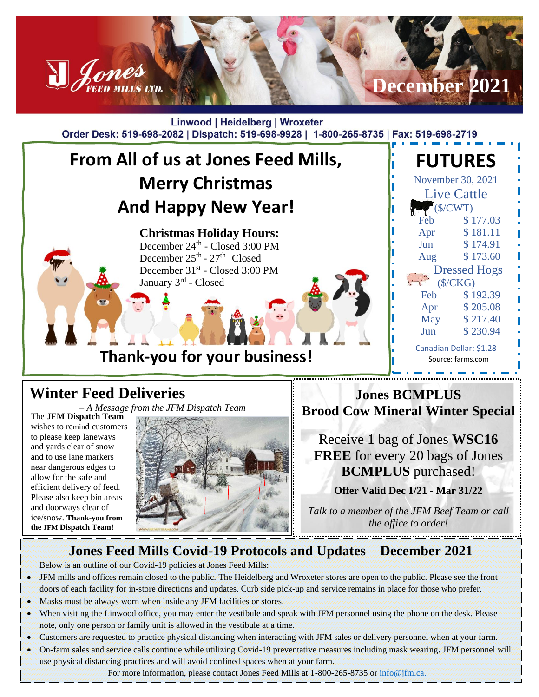

#### **Winter Feed Deliveries**

*– A Message from the JFM Dispatch Team*

The **JFM Dispatch Team** wishes to remind customers to please keep laneways and yards clear of snow and to use lane markers near dangerous edges to allow for the safe and efficient delivery of feed. Please also keep bin areas and doorways clear of ice/snow. **Thank-you from the JFM Dispatch Team!**



**Jones BCMPLUS Brood Cow Mineral Winter Special**

Receive 1 bag of Jones **WSC16 FREE** for every 20 bags of Jones **BCMPLUS** purchased!

**Offer Valid Dec 1/21 - Mar 31/22**

*Talk to a member of the JFM Beef Team or call the office to order!*

### **Jones Feed Mills Covid-19 Protocols and Updates – December 2021**

Below is an outline of our Covid-19 policies at Jones Feed Mills:

- JFM mills and offices remain closed to the public. The Heidelberg and Wroxeter stores are open to the public. Please see the front doors of each facility for in-store directions and updates. Curb side pick-up and service remains in place for those who prefer.
- Masks must be always worn when inside any JFM facilities or stores.
- When visiting the Linwood office, you may enter the vestibule and speak with JFM personnel using the phone on the desk. Please note, only one person or family unit is allowed in the vestibule at a time.
- Customers are requested to practice physical distancing when interacting with JFM sales or delivery personnel when at your farm.
- On-farm sales and service calls continue while utilizing Covid-19 preventative measures including mask wearing. JFM personnel will use physical distancing practices and will avoid confined spaces when at your farm.

For more information, please contact Jones Feed Mills at 1-800-265-8735 or [info@jfm.ca.](mailto:info@jfm.ca)